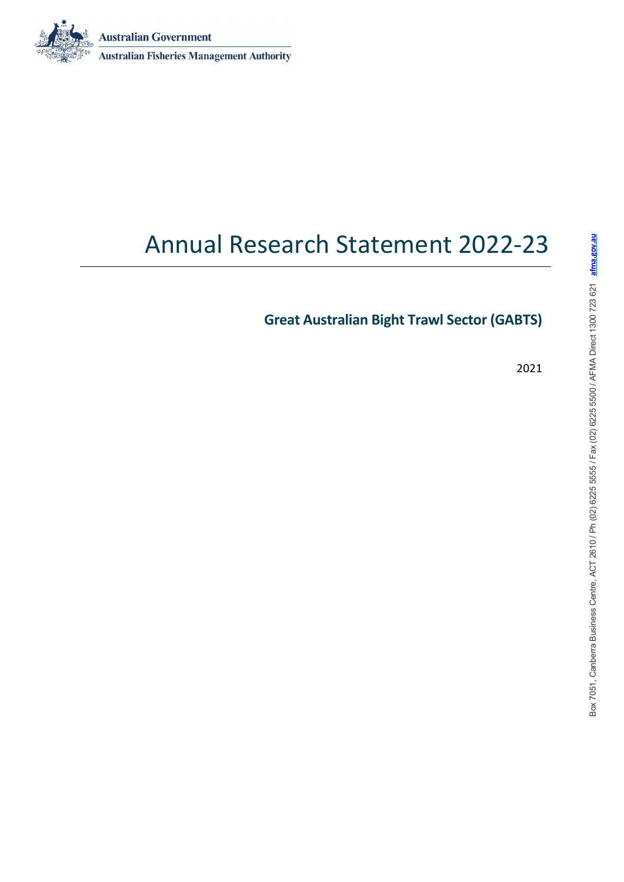**Australian Government** 



# Annual Research Statement 2022-23

**Great Australian Bight Trawl Sector (GABTS)**

2021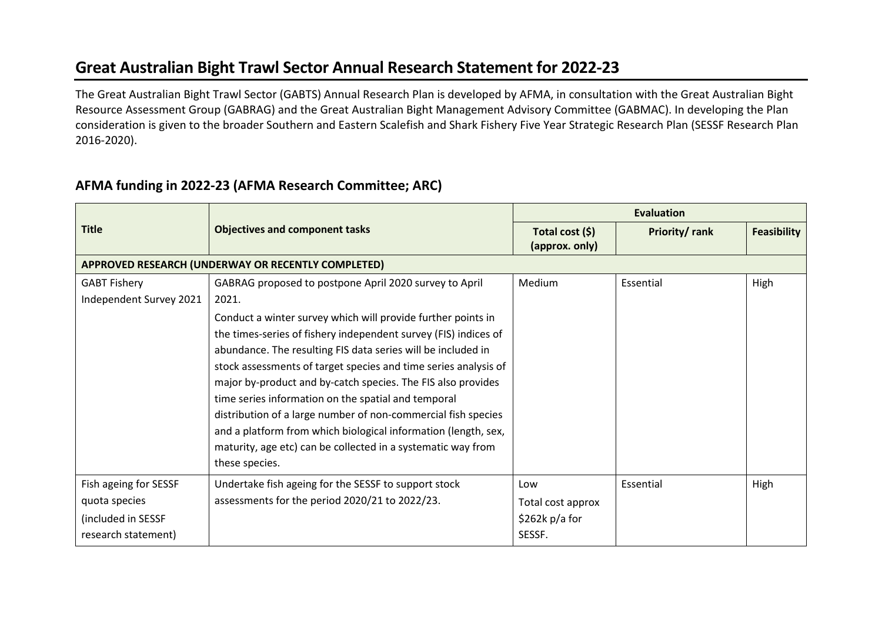### **Great Australian Bight Trawl Sector Annual Research Statement for 2022-23**

The Great Australian Bight Trawl Sector (GABTS) Annual Research Plan is developed by AFMA, in consultation with the Great Australian Bight Resource Assessment Group (GABRAG) and the Great Australian Bight Management Advisory Committee (GABMAC). In developing the Plan consideration is given to the broader Southern and Eastern Scalefish and Shark Fishery Five Year Strategic Research Plan (SESSF Research Plan 2016-2020).

### **AFMA funding in 2022-23 (AFMA Research Committee; ARC)**

|                         |                                                                 | <b>Evaluation</b>                 |               |                    |  |  |  |  |
|-------------------------|-----------------------------------------------------------------|-----------------------------------|---------------|--------------------|--|--|--|--|
| <b>Title</b>            | <b>Objectives and component tasks</b>                           | Total cost (\$)<br>(approx. only) | Priority/rank | <b>Feasibility</b> |  |  |  |  |
|                         | APPROVED RESEARCH (UNDERWAY OR RECENTLY COMPLETED)              |                                   |               |                    |  |  |  |  |
| <b>GABT Fishery</b>     | GABRAG proposed to postpone April 2020 survey to April          | Medium                            | Essential     | High               |  |  |  |  |
| Independent Survey 2021 | 2021.                                                           |                                   |               |                    |  |  |  |  |
|                         | Conduct a winter survey which will provide further points in    |                                   |               |                    |  |  |  |  |
|                         | the times-series of fishery independent survey (FIS) indices of |                                   |               |                    |  |  |  |  |
|                         | abundance. The resulting FIS data series will be included in    |                                   |               |                    |  |  |  |  |
|                         | stock assessments of target species and time series analysis of |                                   |               |                    |  |  |  |  |
|                         | major by-product and by-catch species. The FIS also provides    |                                   |               |                    |  |  |  |  |
|                         | time series information on the spatial and temporal             |                                   |               |                    |  |  |  |  |
|                         | distribution of a large number of non-commercial fish species   |                                   |               |                    |  |  |  |  |
|                         | and a platform from which biological information (length, sex,  |                                   |               |                    |  |  |  |  |
|                         | maturity, age etc) can be collected in a systematic way from    |                                   |               |                    |  |  |  |  |
|                         | these species.                                                  |                                   |               |                    |  |  |  |  |
| Fish ageing for SESSF   | Undertake fish ageing for the SESSF to support stock            | Low                               | Essential     | High               |  |  |  |  |
| quota species           | assessments for the period 2020/21 to 2022/23.                  | Total cost approx                 |               |                    |  |  |  |  |
| (included in SESSF      |                                                                 | \$262k p/a for                    |               |                    |  |  |  |  |
| research statement)     |                                                                 | SESSF.                            |               |                    |  |  |  |  |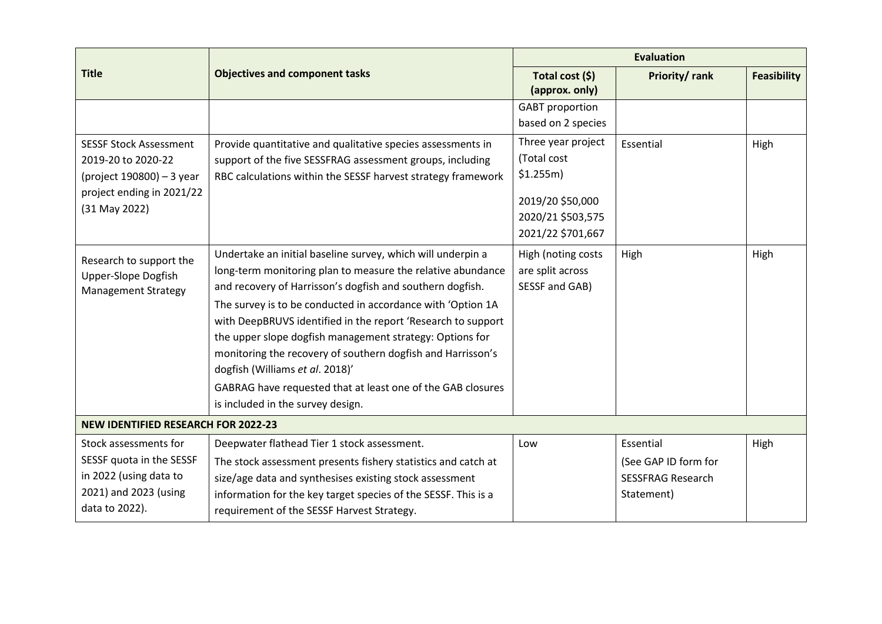|                                                                              |                                                                                                                                                                                                                                                                                                                                                                                                                                                                                                                                                                                          |                                                          | <b>Evaluation</b>        |                    |  |  |  |  |
|------------------------------------------------------------------------------|------------------------------------------------------------------------------------------------------------------------------------------------------------------------------------------------------------------------------------------------------------------------------------------------------------------------------------------------------------------------------------------------------------------------------------------------------------------------------------------------------------------------------------------------------------------------------------------|----------------------------------------------------------|--------------------------|--------------------|--|--|--|--|
| <b>Title</b>                                                                 | <b>Objectives and component tasks</b>                                                                                                                                                                                                                                                                                                                                                                                                                                                                                                                                                    | Total cost (\$)<br>(approx. only)                        | Priority/rank            | <b>Feasibility</b> |  |  |  |  |
|                                                                              |                                                                                                                                                                                                                                                                                                                                                                                                                                                                                                                                                                                          | <b>GABT</b> proportion                                   |                          |                    |  |  |  |  |
|                                                                              |                                                                                                                                                                                                                                                                                                                                                                                                                                                                                                                                                                                          | based on 2 species                                       |                          |                    |  |  |  |  |
| <b>SESSF Stock Assessment</b>                                                | Provide quantitative and qualitative species assessments in                                                                                                                                                                                                                                                                                                                                                                                                                                                                                                                              | Three year project                                       | Essential                | High               |  |  |  |  |
| 2019-20 to 2020-22                                                           | support of the five SESSFRAG assessment groups, including                                                                                                                                                                                                                                                                                                                                                                                                                                                                                                                                | (Total cost                                              |                          |                    |  |  |  |  |
| (project 190800) - 3 year                                                    | RBC calculations within the SESSF harvest strategy framework                                                                                                                                                                                                                                                                                                                                                                                                                                                                                                                             | \$1.255m\$                                               |                          |                    |  |  |  |  |
| project ending in 2021/22                                                    |                                                                                                                                                                                                                                                                                                                                                                                                                                                                                                                                                                                          | 2019/20 \$50,000                                         |                          |                    |  |  |  |  |
| (31 May 2022)                                                                |                                                                                                                                                                                                                                                                                                                                                                                                                                                                                                                                                                                          | 2020/21 \$503,575                                        |                          |                    |  |  |  |  |
|                                                                              |                                                                                                                                                                                                                                                                                                                                                                                                                                                                                                                                                                                          | 2021/22 \$701,667                                        |                          |                    |  |  |  |  |
| Research to support the<br>Upper-Slope Dogfish<br><b>Management Strategy</b> | Undertake an initial baseline survey, which will underpin a<br>long-term monitoring plan to measure the relative abundance<br>and recovery of Harrisson's dogfish and southern dogfish.<br>The survey is to be conducted in accordance with 'Option 1A<br>with DeepBRUVS identified in the report 'Research to support<br>the upper slope dogfish management strategy: Options for<br>monitoring the recovery of southern dogfish and Harrisson's<br>dogfish (Williams et al. 2018)'<br>GABRAG have requested that at least one of the GAB closures<br>is included in the survey design. | High (noting costs<br>are split across<br>SESSF and GAB) | High                     | High               |  |  |  |  |
| <b>NEW IDENTIFIED RESEARCH FOR 2022-23</b>                                   |                                                                                                                                                                                                                                                                                                                                                                                                                                                                                                                                                                                          |                                                          |                          |                    |  |  |  |  |
| Stock assessments for                                                        | Deepwater flathead Tier 1 stock assessment.                                                                                                                                                                                                                                                                                                                                                                                                                                                                                                                                              | Low                                                      | Essential                | High               |  |  |  |  |
| SESSF quota in the SESSF                                                     | The stock assessment presents fishery statistics and catch at                                                                                                                                                                                                                                                                                                                                                                                                                                                                                                                            |                                                          | (See GAP ID form for     |                    |  |  |  |  |
| in 2022 (using data to                                                       | size/age data and synthesises existing stock assessment                                                                                                                                                                                                                                                                                                                                                                                                                                                                                                                                  |                                                          | <b>SESSFRAG Research</b> |                    |  |  |  |  |
| 2021) and 2023 (using                                                        | information for the key target species of the SESSF. This is a                                                                                                                                                                                                                                                                                                                                                                                                                                                                                                                           |                                                          | Statement)               |                    |  |  |  |  |
| data to 2022).                                                               | requirement of the SESSF Harvest Strategy.                                                                                                                                                                                                                                                                                                                                                                                                                                                                                                                                               |                                                          |                          |                    |  |  |  |  |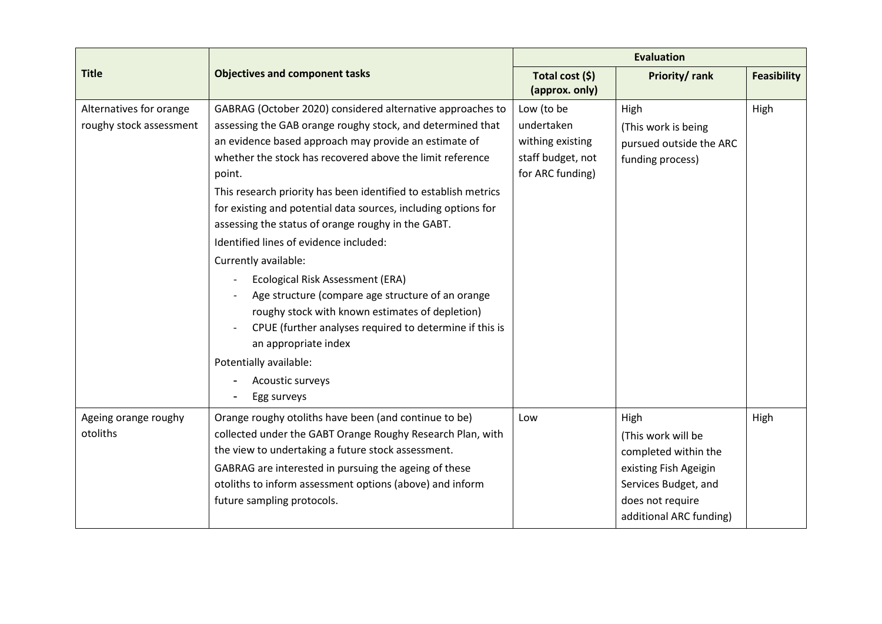|                                                    |                                                                                                                                                                                                                                                                                                                                                                                                                                                                                                                                                                                                                                                                                                                                                                                                                   | <b>Evaluation</b>                                                                     |                                                                                                                                                    |                    |  |  |  |
|----------------------------------------------------|-------------------------------------------------------------------------------------------------------------------------------------------------------------------------------------------------------------------------------------------------------------------------------------------------------------------------------------------------------------------------------------------------------------------------------------------------------------------------------------------------------------------------------------------------------------------------------------------------------------------------------------------------------------------------------------------------------------------------------------------------------------------------------------------------------------------|---------------------------------------------------------------------------------------|----------------------------------------------------------------------------------------------------------------------------------------------------|--------------------|--|--|--|
| <b>Title</b>                                       | <b>Objectives and component tasks</b>                                                                                                                                                                                                                                                                                                                                                                                                                                                                                                                                                                                                                                                                                                                                                                             | Total cost (\$)<br>(approx. only)                                                     | Priority/rank                                                                                                                                      | <b>Feasibility</b> |  |  |  |
| Alternatives for orange<br>roughy stock assessment | GABRAG (October 2020) considered alternative approaches to<br>assessing the GAB orange roughy stock, and determined that<br>an evidence based approach may provide an estimate of<br>whether the stock has recovered above the limit reference<br>point.<br>This research priority has been identified to establish metrics<br>for existing and potential data sources, including options for<br>assessing the status of orange roughy in the GABT.<br>Identified lines of evidence included:<br>Currently available:<br>Ecological Risk Assessment (ERA)<br>Age structure (compare age structure of an orange<br>roughy stock with known estimates of depletion)<br>CPUE (further analyses required to determine if this is<br>an appropriate index<br>Potentially available:<br>Acoustic surveys<br>Egg surveys | Low (to be<br>undertaken<br>withing existing<br>staff budget, not<br>for ARC funding) | High<br>(This work is being<br>pursued outside the ARC<br>funding process)                                                                         | High               |  |  |  |
| Ageing orange roughy<br>otoliths                   | Orange roughy otoliths have been (and continue to be)<br>collected under the GABT Orange Roughy Research Plan, with<br>the view to undertaking a future stock assessment.<br>GABRAG are interested in pursuing the ageing of these<br>otoliths to inform assessment options (above) and inform<br>future sampling protocols.                                                                                                                                                                                                                                                                                                                                                                                                                                                                                      | Low                                                                                   | High<br>(This work will be<br>completed within the<br>existing Fish Ageigin<br>Services Budget, and<br>does not require<br>additional ARC funding) | High               |  |  |  |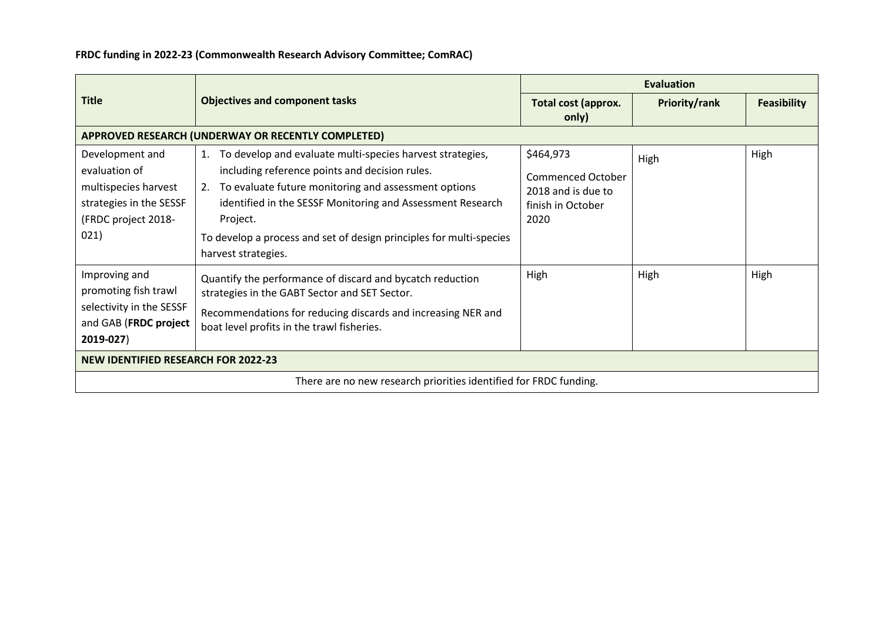|                                                                                                                    |                                                                                                                                                                                                                                                                                                                                                         | <b>Evaluation</b>                                                                        |                      |                    |  |  |  |
|--------------------------------------------------------------------------------------------------------------------|---------------------------------------------------------------------------------------------------------------------------------------------------------------------------------------------------------------------------------------------------------------------------------------------------------------------------------------------------------|------------------------------------------------------------------------------------------|----------------------|--------------------|--|--|--|
| <b>Title</b>                                                                                                       | <b>Objectives and component tasks</b>                                                                                                                                                                                                                                                                                                                   | Total cost (approx.<br>only)                                                             | <b>Priority/rank</b> | <b>Feasibility</b> |  |  |  |
|                                                                                                                    | APPROVED RESEARCH (UNDERWAY OR RECENTLY COMPLETED)                                                                                                                                                                                                                                                                                                      |                                                                                          |                      |                    |  |  |  |
| Development and<br>evaluation of<br>multispecies harvest<br>strategies in the SESSF<br>(FRDC project 2018-<br>021) | To develop and evaluate multi-species harvest strategies,<br>1.<br>including reference points and decision rules.<br>To evaluate future monitoring and assessment options<br>2.<br>identified in the SESSF Monitoring and Assessment Research<br>Project.<br>To develop a process and set of design principles for multi-species<br>harvest strategies. | \$464,973<br><b>Commenced October</b><br>2018 and is due to<br>finish in October<br>2020 | High                 | High               |  |  |  |
| Improving and<br>promoting fish trawl<br>selectivity in the SESSF<br>and GAB (FRDC project<br>2019-027)            | Quantify the performance of discard and bycatch reduction<br>strategies in the GABT Sector and SET Sector.<br>Recommendations for reducing discards and increasing NER and<br>boat level profits in the trawl fisheries.                                                                                                                                | High                                                                                     | High                 | High               |  |  |  |
| <b>NEW IDENTIFIED RESEARCH FOR 2022-23</b>                                                                         |                                                                                                                                                                                                                                                                                                                                                         |                                                                                          |                      |                    |  |  |  |
|                                                                                                                    | There are no new research priorities identified for FRDC funding.                                                                                                                                                                                                                                                                                       |                                                                                          |                      |                    |  |  |  |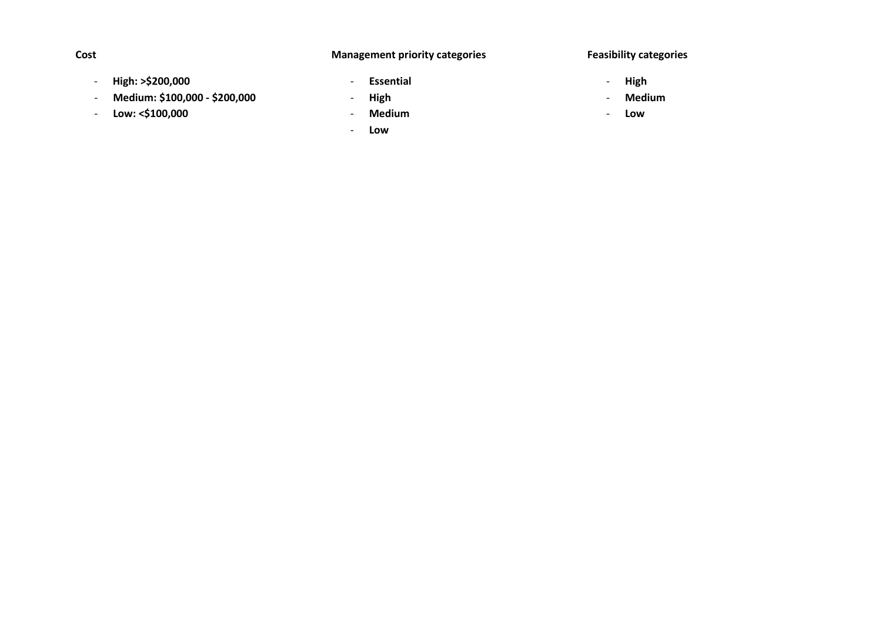#### **Management priority categories**

#### **Feasibility categories**

- **High: >\$200,000**
- **Medium: \$100,000 - \$200,000**
- **Low: <\$100,000**
- **Essential**
- **High**
- **Medium**
- **Low**
- **High**
- **Medium**
- **Low**

**Cost**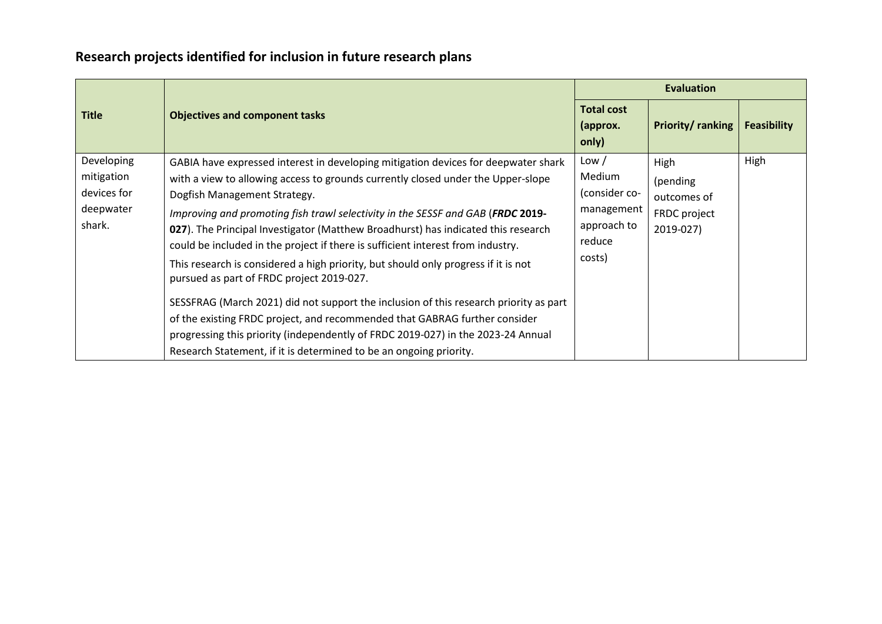## **Research projects identified for inclusion in future research plans**

|                                                                |                                                                                                                                                                                                                                                                                                                                                                                                                                                                                                                                                                                                                                                                                                                                                                                                                                                                                                                                       | <b>Evaluation</b>                                                                 |                                                              |                    |  |  |
|----------------------------------------------------------------|---------------------------------------------------------------------------------------------------------------------------------------------------------------------------------------------------------------------------------------------------------------------------------------------------------------------------------------------------------------------------------------------------------------------------------------------------------------------------------------------------------------------------------------------------------------------------------------------------------------------------------------------------------------------------------------------------------------------------------------------------------------------------------------------------------------------------------------------------------------------------------------------------------------------------------------|-----------------------------------------------------------------------------------|--------------------------------------------------------------|--------------------|--|--|
| <b>Title</b>                                                   | <b>Objectives and component tasks</b>                                                                                                                                                                                                                                                                                                                                                                                                                                                                                                                                                                                                                                                                                                                                                                                                                                                                                                 | <b>Total cost</b><br>(approx.<br>only)                                            | Priority/ranking                                             | <b>Feasibility</b> |  |  |
| Developing<br>mitigation<br>devices for<br>deepwater<br>shark. | GABIA have expressed interest in developing mitigation devices for deepwater shark<br>with a view to allowing access to grounds currently closed under the Upper-slope<br>Dogfish Management Strategy.<br>Improving and promoting fish trawl selectivity in the SESSF and GAB (FRDC 2019-<br>027). The Principal Investigator (Matthew Broadhurst) has indicated this research<br>could be included in the project if there is sufficient interest from industry.<br>This research is considered a high priority, but should only progress if it is not<br>pursued as part of FRDC project 2019-027.<br>SESSFRAG (March 2021) did not support the inclusion of this research priority as part<br>of the existing FRDC project, and recommended that GABRAG further consider<br>progressing this priority (independently of FRDC 2019-027) in the 2023-24 Annual<br>Research Statement, if it is determined to be an ongoing priority. | Low /<br>Medium<br>(consider co-<br>management<br>approach to<br>reduce<br>costs) | High<br>(pending<br>outcomes of<br>FRDC project<br>2019-027) | High               |  |  |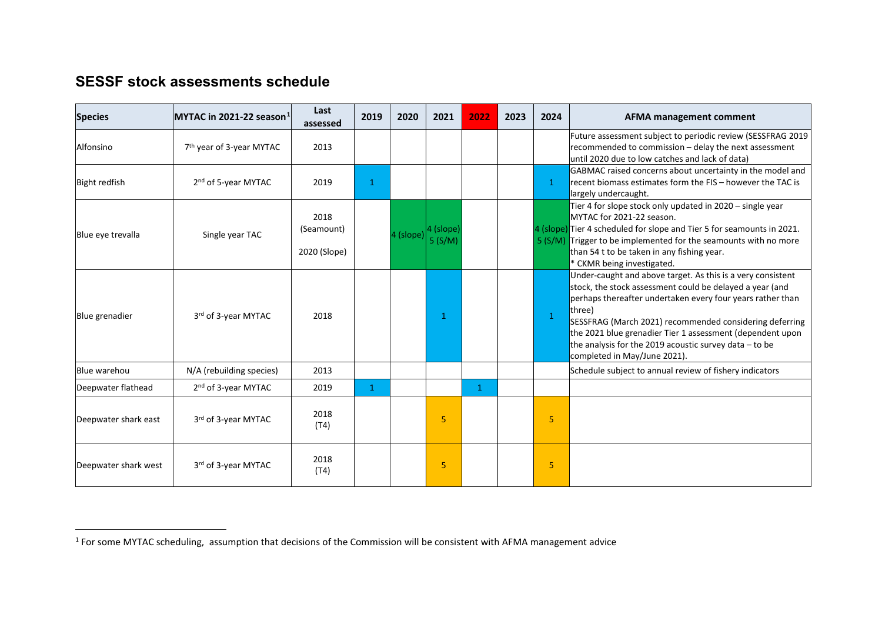### <span id="page-7-0"></span>**SESSF stock assessments schedule**

 $\overline{a}$ 

| <b>Species</b>       | MYTAC in 2021-22 season $^1$         | Last<br>assessed                   | 2019         | 2020      | 2021     | 2022         | 2023 | 2024         | <b>AFMA management comment</b>                                                                                                                                                                                                                                                                                                                                                                                      |
|----------------------|--------------------------------------|------------------------------------|--------------|-----------|----------|--------------|------|--------------|---------------------------------------------------------------------------------------------------------------------------------------------------------------------------------------------------------------------------------------------------------------------------------------------------------------------------------------------------------------------------------------------------------------------|
| Alfonsino            | 7 <sup>th</sup> year of 3-year MYTAC | 2013                               |              |           |          |              |      |              | Future assessment subject to periodic review (SESSFRAG 2019<br>recommended to commission - delay the next assessment<br>until 2020 due to low catches and lack of data)                                                                                                                                                                                                                                             |
| <b>Bight redfish</b> | 2 <sup>nd</sup> of 5-year MYTAC      | 2019                               | $\mathbf{1}$ |           |          |              |      | 1            | GABMAC raised concerns about uncertainty in the model and<br>recent biomass estimates form the FIS - however the TAC is<br>largely undercaught.                                                                                                                                                                                                                                                                     |
| Blue eve trevalla    | Single year TAC                      | 2018<br>(Seamount)<br>2020 (Slope) |              | 4 (slope) | 4 (slope |              |      |              | Tier 4 for slope stock only updated in 2020 - single year<br>MYTAC for 2021-22 season.<br>4 (slope) Tier 4 scheduled for slope and Tier 5 for seamounts in 2021.<br>5 (S/M) Trigger to be implemented for the seamounts with no more<br>than 54 t to be taken in any fishing year.<br>* CKMR being investigated.                                                                                                    |
| Blue grenadier       | 3rd of 3-year MYTAC                  | 2018                               |              |           | -1       |              |      | $\mathbf{1}$ | Under-caught and above target. As this is a very consistent<br>stock, the stock assessment could be delayed a year (and<br>perhaps thereafter undertaken every four years rather than<br>three)<br>SESSFRAG (March 2021) recommended considering deferring<br>the 2021 blue grenadier Tier 1 assessment (dependent upon<br>the analysis for the 2019 acoustic survey data $-$ to be<br>completed in May/June 2021). |
| Blue warehou         | N/A (rebuilding species)             | 2013                               |              |           |          |              |      |              | Schedule subject to annual review of fishery indicators                                                                                                                                                                                                                                                                                                                                                             |
| Deepwater flathead   | 2 <sup>nd</sup> of 3-year MYTAC      | 2019                               | $\mathbf{1}$ |           |          | $\mathbf{1}$ |      |              |                                                                                                                                                                                                                                                                                                                                                                                                                     |
| Deepwater shark east | 3rd of 3-year MYTAC                  | 2018<br>(T4)                       |              |           | 5        |              |      | 5            |                                                                                                                                                                                                                                                                                                                                                                                                                     |
| Deepwater shark west | 3rd of 3-year MYTAC                  | 2018<br>(T4)                       |              |           | 5        |              |      | 5            |                                                                                                                                                                                                                                                                                                                                                                                                                     |

 $1$  For some MYTAC scheduling, assumption that decisions of the Commission will be consistent with AFMA management advice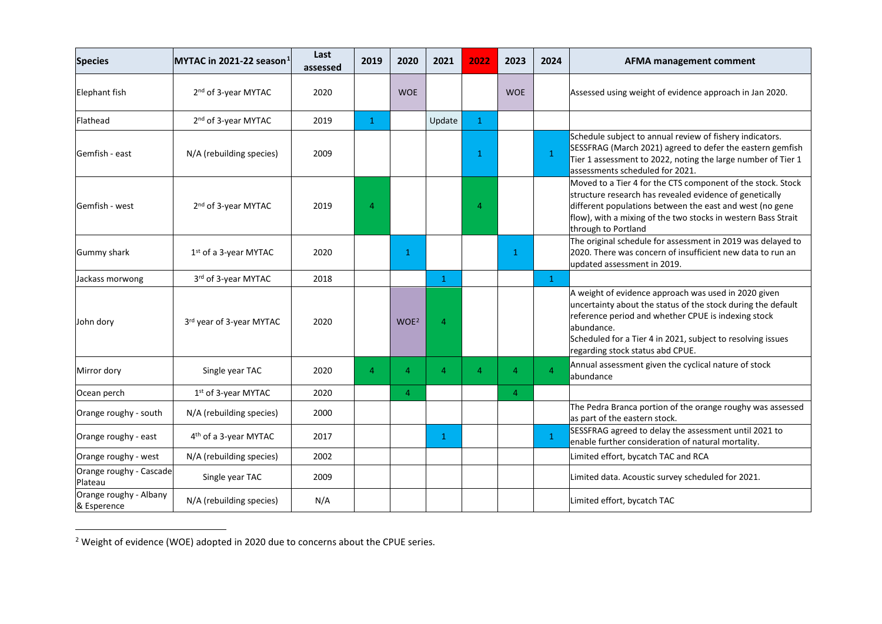<span id="page-8-0"></span>

| <b>Species</b>                        | MYTAC in 2021-22 season $1$       | Last<br>assessed | 2019           | 2020             | 2021           | 2022         | 2023           | 2024           | <b>AFMA management comment</b>                                                                                                                                                                                                                                                               |
|---------------------------------------|-----------------------------------|------------------|----------------|------------------|----------------|--------------|----------------|----------------|----------------------------------------------------------------------------------------------------------------------------------------------------------------------------------------------------------------------------------------------------------------------------------------------|
| <b>Elephant fish</b>                  | 2 <sup>nd</sup> of 3-year MYTAC   | 2020             |                | <b>WOE</b>       |                |              | <b>WOE</b>     |                | Assessed using weight of evidence approach in Jan 2020.                                                                                                                                                                                                                                      |
| Flathead                              | 2 <sup>nd</sup> of 3-year MYTAC   | 2019             | $\mathbf{1}$   |                  | Update         | $\mathbf{1}$ |                |                |                                                                                                                                                                                                                                                                                              |
| Gemfish - east                        | N/A (rebuilding species)          | 2009             |                |                  |                | 1.           |                | $\mathbf{1}$   | Schedule subject to annual review of fishery indicators.<br>SESSFRAG (March 2021) agreed to defer the eastern gemfish<br>Tier 1 assessment to 2022, noting the large number of Tier 1<br>assessments scheduled for 2021.                                                                     |
| Gemfish - west                        | 2 <sup>nd</sup> of 3-year MYTAC   | 2019             | 4              |                  |                | 4            |                |                | Moved to a Tier 4 for the CTS component of the stock. Stock<br>structure research has revealed evidence of genetically<br>different populations between the east and west (no gene<br>flow), with a mixing of the two stocks in western Bass Strait<br>through to Portland                   |
| Gummy shark                           | 1 <sup>st</sup> of a 3-year MYTAC | 2020             |                | $\mathbf{1}$     |                |              | $\mathbf{1}$   |                | The original schedule for assessment in 2019 was delayed to<br>2020. There was concern of insufficient new data to run an<br>updated assessment in 2019.                                                                                                                                     |
| Jackass morwong                       | 3rd of 3-year MYTAC               | 2018             |                |                  | $\mathbf{1}$   |              |                | $\mathbf{1}$   |                                                                                                                                                                                                                                                                                              |
| John dory                             | 3rd year of 3-year MYTAC          | 2020             |                | WOE <sup>2</sup> | $\overline{4}$ |              |                |                | A weight of evidence approach was used in 2020 given<br>uncertainty about the status of the stock during the default<br>reference period and whether CPUE is indexing stock<br>abundance.<br>Scheduled for a Tier 4 in 2021, subject to resolving issues<br>regarding stock status abd CPUE. |
| Mirror dory                           | Single year TAC                   | 2020             | $\overline{4}$ | 4                | $\overline{4}$ | 4            | $\overline{4}$ | $\overline{A}$ | Annual assessment given the cyclical nature of stock<br>abundance                                                                                                                                                                                                                            |
| Ocean perch                           | 1 <sup>st</sup> of 3-year MYTAC   | 2020             |                | 4                |                |              | $\overline{4}$ |                |                                                                                                                                                                                                                                                                                              |
| Orange roughy - south                 | N/A (rebuilding species)          | 2000             |                |                  |                |              |                |                | The Pedra Branca portion of the orange roughy was assessed<br>as part of the eastern stock.                                                                                                                                                                                                  |
| Orange roughy - east                  | 4th of a 3-year MYTAC             | 2017             |                |                  | $\mathbf{1}$   |              |                | $\mathbf{1}$   | SESSFRAG agreed to delay the assessment until 2021 to<br>enable further consideration of natural mortality.                                                                                                                                                                                  |
| Orange roughy - west                  | N/A (rebuilding species)          | 2002             |                |                  |                |              |                |                | Limited effort, bycatch TAC and RCA                                                                                                                                                                                                                                                          |
| Orange roughy - Cascade<br>Plateau    | Single year TAC                   | 2009             |                |                  |                |              |                |                | Limited data. Acoustic survey scheduled for 2021.                                                                                                                                                                                                                                            |
| Orange roughy - Albany<br>& Esperence | N/A (rebuilding species)          | N/A              |                |                  |                |              |                |                | Limited effort, bycatch TAC                                                                                                                                                                                                                                                                  |

 $\overline{a}$  $2$  Weight of evidence (WOE) adopted in 2020 due to concerns about the CPUE series.